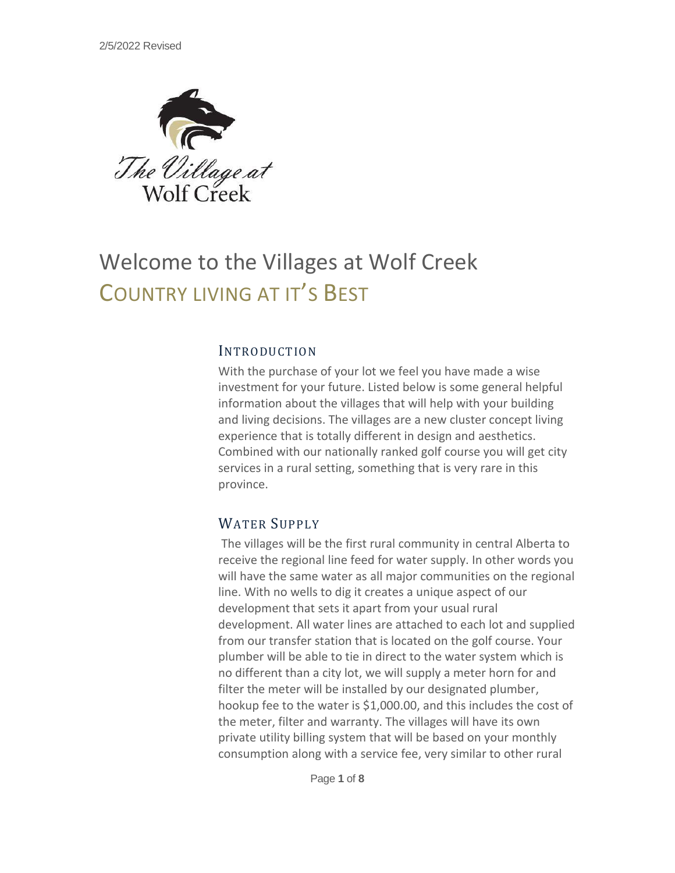

# Welcome to the Villages at Wolf Creek COUNTRY LIVING AT IT'S BEST

### INTRODUCTION

With the purchase of your lot we feel you have made a wise investment for your future. Listed below is some general helpful information about the villages that will help with your building and living decisions. The villages are a new cluster concept living experience that is totally different in design and aesthetics. Combined with our nationally ranked golf course you will get city services in a rural setting, something that is very rare in this province.

## WATER SUPPLY

The villages will be the first rural community in central Alberta to receive the regional line feed for water supply. In other words you will have the same water as all major communities on the regional line. With no wells to dig it creates a unique aspect of our development that sets it apart from your usual rural development. All water lines are attached to each lot and supplied from our transfer station that is located on the golf course. Your plumber will be able to tie in direct to the water system which is no different than a city lot, we will supply a meter horn for and filter the meter will be installed by our designated plumber, hookup fee to the water is \$1,000.00, and this includes the cost of the meter, filter and warranty. The villages will have its own private utility billing system that will be based on your monthly consumption along with a service fee, very similar to other rural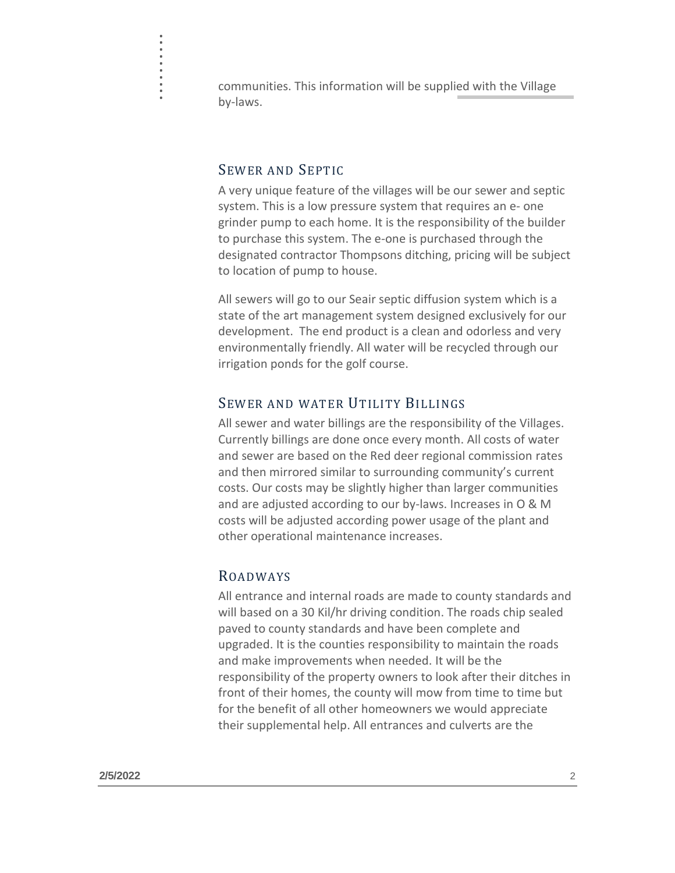communities. This information will be supplied with the Village by-laws.

### SEWER AND SEPTIC

. . . . . . . . .<br>.<br>.<br>. .

> A very unique feature of the villages will be our sewer and septic system. This is a low pressure system that requires an e- one grinder pump to each home. It is the responsibility of the builder to purchase this system. The e-one is purchased through the designated contractor Thompsons ditching, pricing will be subject to location of pump to house.

All sewers will go to our Seair septic diffusion system which is a state of the art management system designed exclusively for our development. The end product is a clean and odorless and very environmentally friendly. All water will be recycled through our irrigation ponds for the golf course.

## SEWER AND WATER UTILITY BILLINGS

All sewer and water billings are the responsibility of the Villages. Currently billings are done once every month. All costs of water and sewer are based on the Red deer regional commission rates and then mirrored similar to surrounding community's current costs. Our costs may be slightly higher than larger communities and are adjusted according to our by-laws. Increases in O & M costs will be adjusted according power usage of the plant and other operational maintenance increases.

# ROADWAYS

All entrance and internal roads are made to county standards and will based on a 30 Kil/hr driving condition. The roads chip sealed paved to county standards and have been complete and upgraded. It is the counties responsibility to maintain the roads and make improvements when needed. It will be the responsibility of the property owners to look after their ditches in front of their homes, the county will mow from time to time but for the benefit of all other homeowners we would appreciate their supplemental help. All entrances and culverts are the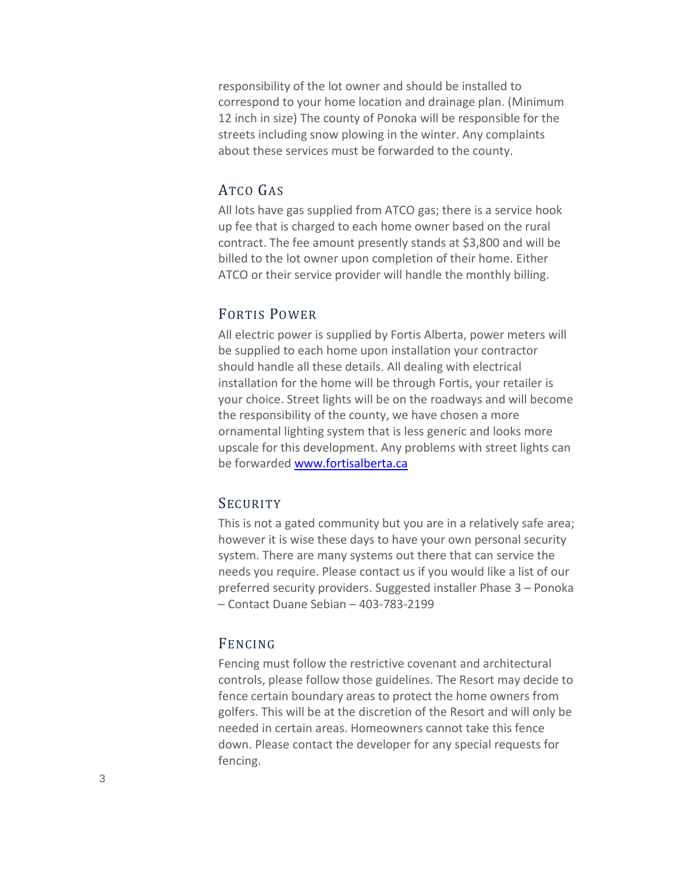responsibility of the lot owner and should be installed to correspond to your home location and drainage plan. (Minimum 12 inch in size) The county of Ponoka will be responsible for the streets including snow plowing in the winter. Any complaints about these services must be forwarded to the county.

# ATCO GAS

All lots have gas supplied from ATCO gas; there is a service hook up fee that is charged to each home owner based on the rural contract. The fee amount presently stands at \$3,800 and will be billed to the lot owner upon completion of their home. Either ATCO or their service provider will handle the monthly billing.

# FORTIS POWER

All electric power is supplied by Fortis Alberta, power meters will be supplied to each home upon installation your contractor should handle all these details. All dealing with electrical installation for the home will be through Fortis, your retailer is your choice. Street lights will be on the roadways and will become the responsibility of the county, we have chosen a more ornamental lighting system that is less generic and looks more upscale for this development. Any problems with street lights can be forwarded [www.fortisalberta.ca](http://www.fortisalberta.ca/)

# **SECURITY**

This is not a gated community but you are in a relatively safe area; however it is wise these days to have your own personal security system. There are many systems out there that can service the needs you require. Please contact us if you would like a list of our preferred security providers. Suggested installer Phase 3 – Ponoka – Contact Duane Sebian – 403-783-2199

## FENCING

Fencing must follow the restrictive covenant and architectural controls, please follow those guidelines. The Resort may decide to fence certain boundary areas to protect the home owners from golfers. This will be at the discretion of the Resort and will only be needed in certain areas. Homeowners cannot take this fence down. Please contact the developer for any special requests for fencing.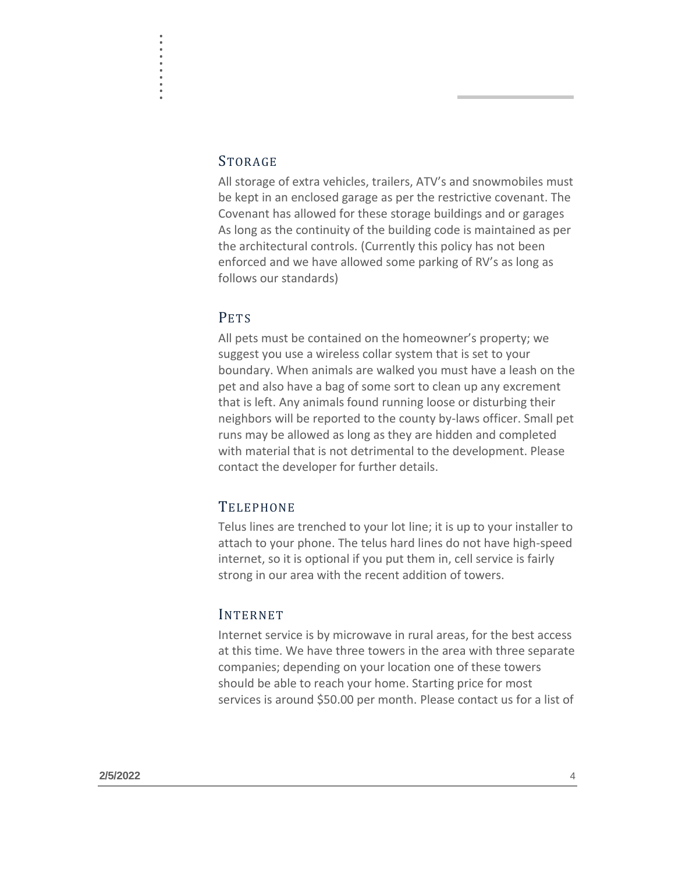#### STORAGE

. . . . . .<br>.<br>.<br>. . . .<br>.<br>.<br>. .

> All storage of extra vehicles, trailers, ATV's and snowmobiles must be kept in an enclosed garage as per the restrictive covenant. The Covenant has allowed for these storage buildings and or garages As long as the continuity of the building code is maintained as per the architectural controls. (Currently this policy has not been enforced and we have allowed some parking of RV's as long as follows our standards)

## PETS

All pets must be contained on the homeowner's property; we suggest you use a wireless collar system that is set to your boundary. When animals are walked you must have a leash on the pet and also have a bag of some sort to clean up any excrement that is left. Any animals found running loose or disturbing their neighbors will be reported to the county by-laws officer. Small pet runs may be allowed as long as they are hidden and completed with material that is not detrimental to the development. Please contact the developer for further details.

## **TELEPHONE**

Telus lines are trenched to your lot line; it is up to your installer to attach to your phone. The telus hard lines do not have high-speed internet, so it is optional if you put them in, cell service is fairly strong in our area with the recent addition of towers.

#### INTERNET

Internet service is by microwave in rural areas, for the best access at this time. We have three towers in the area with three separate companies; depending on your location one of these towers should be able to reach your home. Starting price for most services is around \$50.00 per month. Please contact us for a list of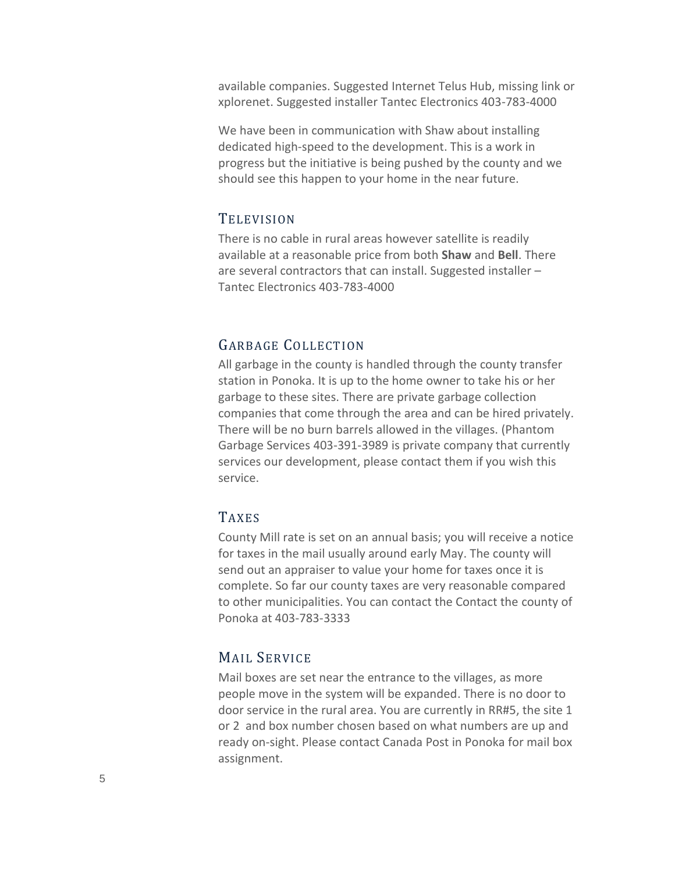available companies. Suggested Internet Telus Hub, missing link or xplorenet. Suggested installer Tantec Electronics 403-783-4000

We have been in communication with Shaw about installing dedicated high-speed to the development. This is a work in progress but the initiative is being pushed by the county and we should see this happen to your home in the near future.

## **TELEVISION**

There is no cable in rural areas however satellite is readily available at a reasonable price from both **Shaw** and **Bell**. There are several contractors that can install. Suggested installer – Tantec Electronics 403-783-4000

# GARBAGE COLLECTION

All garbage in the county is handled through the county transfer station in Ponoka. It is up to the home owner to take his or her garbage to these sites. There are private garbage collection companies that come through the area and can be hired privately. There will be no burn barrels allowed in the villages. (Phantom Garbage Services 403-391-3989 is private company that currently services our development, please contact them if you wish this service.

# TAXES

County Mill rate is set on an annual basis; you will receive a notice for taxes in the mail usually around early May. The county will send out an appraiser to value your home for taxes once it is complete. So far our county taxes are very reasonable compared to other municipalities. You can contact the Contact the county of Ponoka at 403-783-3333

# MAIL SERVICE

Mail boxes are set near the entrance to the villages, as more people move in the system will be expanded. There is no door to door service in the rural area. You are currently in RR#5, the site 1 or 2 and box number chosen based on what numbers are up and ready on-sight. Please contact Canada Post in Ponoka for mail box assignment.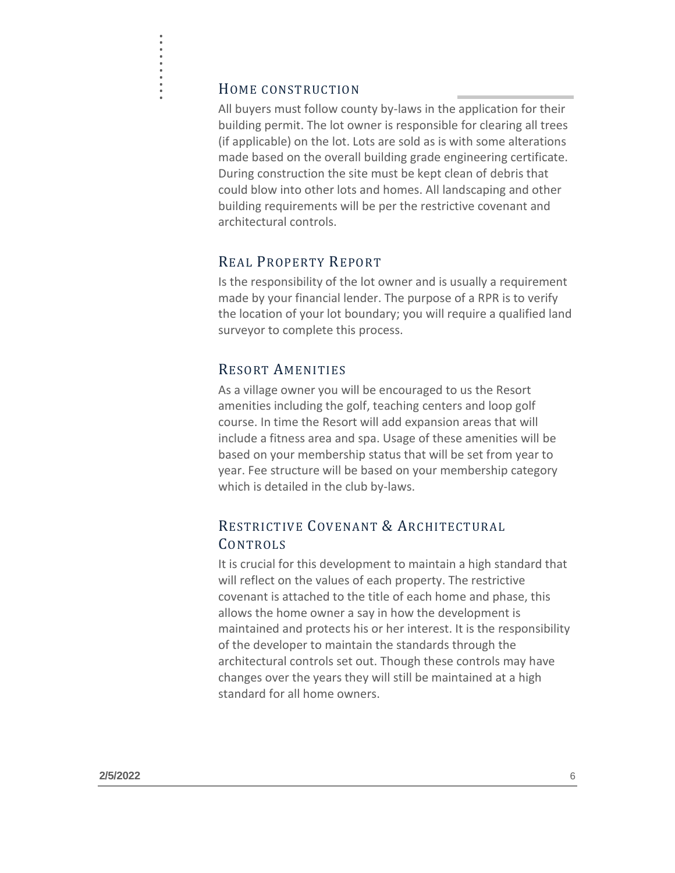#### HOME CONSTRUCTION

. . . . . .<br>.<br>.<br>. . . .<br>.<br>.<br>. .

All buyers must follow county by-laws in the application for their building permit. The lot owner is responsible for clearing all trees (if applicable) on the lot. Lots are sold as is with some alterations made based on the overall building grade engineering certificate. During construction the site must be kept clean of debris that could blow into other lots and homes. All landscaping and other building requirements will be per the restrictive covenant and architectural controls.

## REAL PROPERTY REPORT

Is the responsibility of the lot owner and is usually a requirement made by your financial lender. The purpose of a RPR is to verify the location of your lot boundary; you will require a qualified land surveyor to complete this process.

#### RESORT AMENITIES

As a village owner you will be encouraged to us the Resort amenities including the golf, teaching centers and loop golf course. In time the Resort will add expansion areas that will include a fitness area and spa. Usage of these amenities will be based on your membership status that will be set from year to year. Fee structure will be based on your membership category which is detailed in the club by-laws.

# RESTRICTIVE COVENANT & ARCHITECTURAL **CONTROLS**

It is crucial for this development to maintain a high standard that will reflect on the values of each property. The restrictive covenant is attached to the title of each home and phase, this allows the home owner a say in how the development is maintained and protects his or her interest. It is the responsibility of the developer to maintain the standards through the architectural controls set out. Though these controls may have changes over the years they will still be maintained at a high standard for all home owners.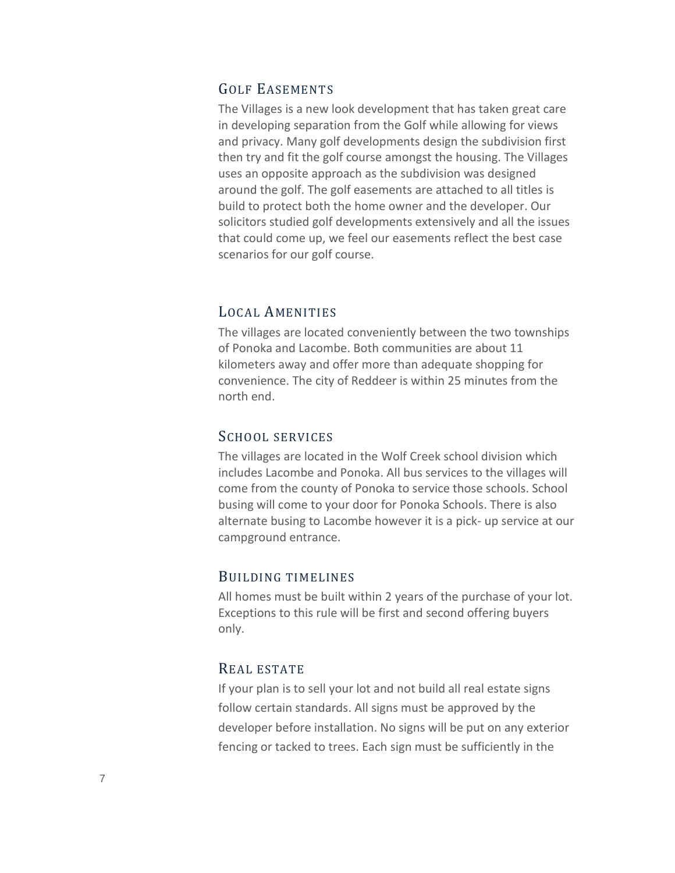## GOLF EASEMENTS

The Villages is a new look development that has taken great care in developing separation from the Golf while allowing for views and privacy. Many golf developments design the subdivision first then try and fit the golf course amongst the housing. The Villages uses an opposite approach as the subdivision was designed around the golf. The golf easements are attached to all titles is build to protect both the home owner and the developer. Our solicitors studied golf developments extensively and all the issues that could come up, we feel our easements reflect the best case scenarios for our golf course.

#### LOCAL AMENITIES

The villages are located conveniently between the two townships of Ponoka and Lacombe. Both communities are about 11 kilometers away and offer more than adequate shopping for convenience. The city of Reddeer is within 25 minutes from the north end.

#### SCHOOL SERVICES

The villages are located in the Wolf Creek school division which includes Lacombe and Ponoka. All bus services to the villages will come from the county of Ponoka to service those schools. School busing will come to your door for Ponoka Schools. There is also alternate busing to Lacombe however it is a pick- up service at our campground entrance.

#### BUILDING TIMELINES

All homes must be built within 2 years of the purchase of your lot. Exceptions to this rule will be first and second offering buyers only.

#### REAL ESTATE

If your plan is to sell your lot and not build all real estate signs follow certain standards. All signs must be approved by the developer before installation. No signs will be put on any exterior fencing or tacked to trees. Each sign must be sufficiently in the